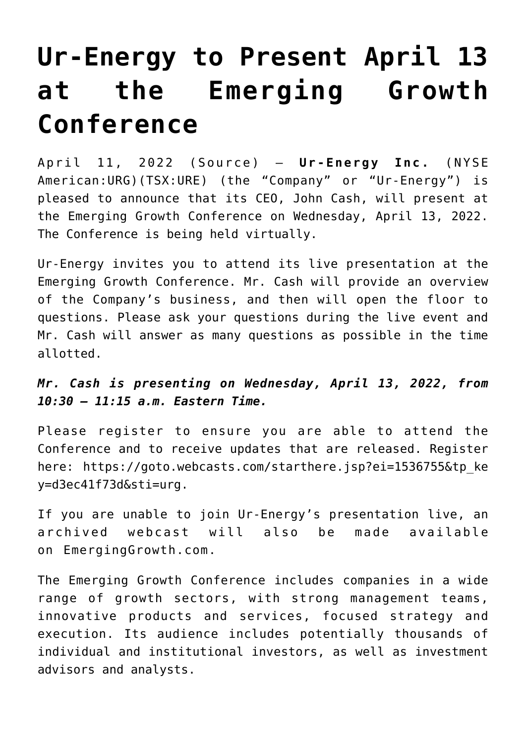## **[Ur-Energy to Present April 13](https://investorintel.com/markets/uranium-energy/uranium-energy-news/ur-energy-to-present-april-13-at-the-emerging-growth-conference/) [at the Emerging Growth](https://investorintel.com/markets/uranium-energy/uranium-energy-news/ur-energy-to-present-april-13-at-the-emerging-growth-conference/) [Conference](https://investorintel.com/markets/uranium-energy/uranium-energy-news/ur-energy-to-present-april-13-at-the-emerging-growth-conference/)**

April 11, 2022 ( [Source](https://www.accesswire.com/696814/Ur-Energy-to-Present-April-13-at-the-Emerging-Growth-Conference)) – **Ur-Energy Inc.** (NYSE American:URG)(TSX:URE) (the "Company" or "Ur-Energy") is pleased to announce that its CEO, John Cash, will present at the Emerging Growth Conference on Wednesday, April 13, 2022. The Conference is being held virtually.

Ur-Energy invites you to attend its live presentation at the Emerging Growth Conference. Mr. Cash will provide an overview of the Company's business, and then will open the floor to questions. Please ask your questions during the live event and Mr. Cash will answer as many questions as possible in the time allotted.

*Mr. Cash is presenting on Wednesday, April 13, 2022, from 10:30 – 11:15 a.m. Eastern Time.*

Please register to ensure you are able to attend the Conference and to receive updates that are released. Register here: [https://goto.webcasts.com/starthere.jsp?ei=1536755&tp\\_ke](https://pr.report/R8r2I4vE) [y=d3ec41f73d&sti=urg](https://pr.report/R8r2I4vE).

If you are unable to join Ur-Energy's presentation live, an archived webcast will also be made available on [EmergingGrowth.com](https://pr.report/hJoMiTPK).

The Emerging Growth Conference includes companies in a wide range of growth sectors, with strong management teams, innovative products and services, focused strategy and execution. Its audience includes potentially thousands of individual and institutional investors, as well as investment advisors and analysts.